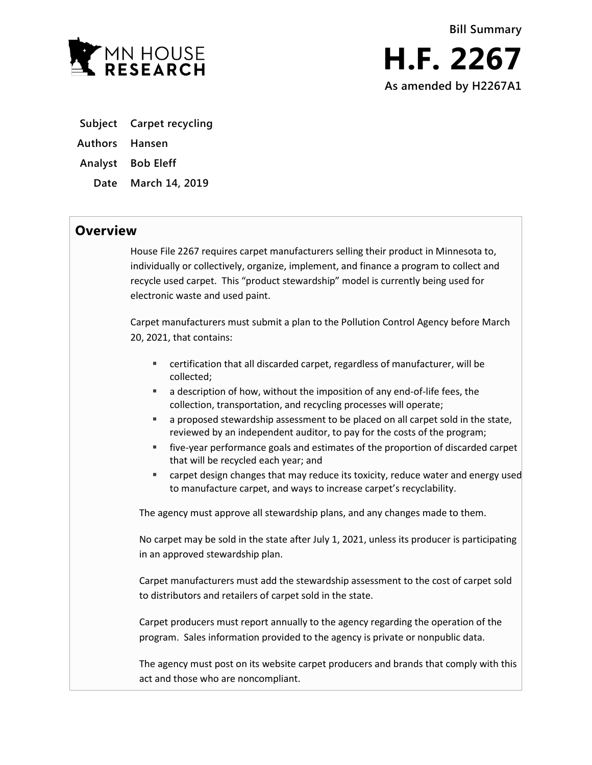

- **Subject Carpet recycling**
- **Authors Hansen**
- **Analyst Bob Eleff**
	- **Date March 14, 2019**

## **Overview**

House File 2267 requires carpet manufacturers selling their product in Minnesota to, individually or collectively, organize, implement, and finance a program to collect and recycle used carpet. This "product stewardship" model is currently being used for electronic waste and used paint.

Carpet manufacturers must submit a plan to the Pollution Control Agency before March 20, 2021, that contains:

- certification that all discarded carpet, regardless of manufacturer, will be collected;
- a description of how, without the imposition of any end-of-life fees, the collection, transportation, and recycling processes will operate;
- a proposed stewardship assessment to be placed on all carpet sold in the state, reviewed by an independent auditor, to pay for the costs of the program;
- five-year performance goals and estimates of the proportion of discarded carpet that will be recycled each year; and
- carpet design changes that may reduce its toxicity, reduce water and energy used to manufacture carpet, and ways to increase carpet's recyclability.

The agency must approve all stewardship plans, and any changes made to them.

No carpet may be sold in the state after July 1, 2021, unless its producer is participating in an approved stewardship plan.

Carpet manufacturers must add the stewardship assessment to the cost of carpet sold to distributors and retailers of carpet sold in the state.

Carpet producers must report annually to the agency regarding the operation of the program. Sales information provided to the agency is private or nonpublic data.

The agency must post on its website carpet producers and brands that comply with this act and those who are noncompliant.